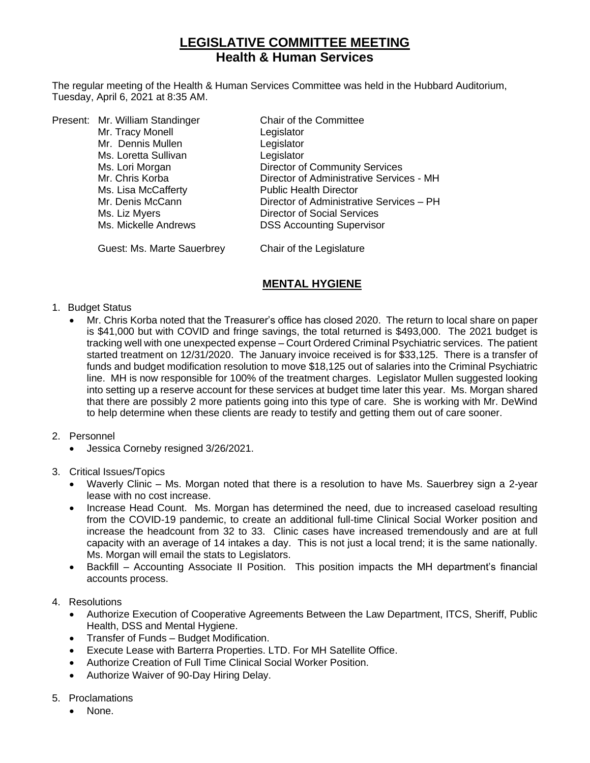# **LEGISLATIVE COMMITTEE MEETING Health & Human Services**

The regular meeting of the Health & Human Services Committee was held in the Hubbard Auditorium, Tuesday, April 6, 2021 at 8:35 AM.

|  | Present: Mr. William Standinger | Chair of the Committee                   |
|--|---------------------------------|------------------------------------------|
|  | Mr. Tracy Monell                | Legislator                               |
|  | Mr. Dennis Mullen               | Legislator                               |
|  | Ms. Loretta Sullivan            | Legislator                               |
|  | Ms. Lori Morgan                 | <b>Director of Community Services</b>    |
|  | Mr. Chris Korba                 | Director of Administrative Services - MH |
|  | Ms. Lisa McCafferty             | <b>Public Health Director</b>            |
|  | Mr. Denis McCann                | Director of Administrative Services - PH |
|  | Ms. Liz Myers                   | <b>Director of Social Services</b>       |
|  | Ms. Mickelle Andrews            | <b>DSS Accounting Supervisor</b>         |
|  |                                 |                                          |

Guest: Ms. Marte Sauerbrey Chair of the Legislature

## **MENTAL HYGIENE**

- 1. Budget Status
	- Mr. Chris Korba noted that the Treasurer's office has closed 2020. The return to local share on paper is \$41,000 but with COVID and fringe savings, the total returned is \$493,000. The 2021 budget is tracking well with one unexpected expense – Court Ordered Criminal Psychiatric services. The patient started treatment on 12/31/2020. The January invoice received is for \$33,125. There is a transfer of funds and budget modification resolution to move \$18,125 out of salaries into the Criminal Psychiatric line. MH is now responsible for 100% of the treatment charges. Legislator Mullen suggested looking into setting up a reserve account for these services at budget time later this year. Ms. Morgan shared that there are possibly 2 more patients going into this type of care. She is working with Mr. DeWind to help determine when these clients are ready to testify and getting them out of care sooner.
- 2. Personnel
	- Jessica Corneby resigned 3/26/2021.
- 3. Critical Issues/Topics
	- Waverly Clinic Ms. Morgan noted that there is a resolution to have Ms. Sauerbrey sign a 2-year lease with no cost increase.
	- Increase Head Count. Ms. Morgan has determined the need, due to increased caseload resulting from the COVID-19 pandemic, to create an additional full-time Clinical Social Worker position and increase the headcount from 32 to 33. Clinic cases have increased tremendously and are at full capacity with an average of 14 intakes a day. This is not just a local trend; it is the same nationally. Ms. Morgan will email the stats to Legislators.
	- Backfill Accounting Associate II Position. This position impacts the MH department's financial accounts process.
- 4. Resolutions
	- Authorize Execution of Cooperative Agreements Between the Law Department, ITCS, Sheriff, Public Health, DSS and Mental Hygiene.
	- Transfer of Funds Budget Modification.
	- Execute Lease with Barterra Properties. LTD. For MH Satellite Office.
	- Authorize Creation of Full Time Clinical Social Worker Position.
	- Authorize Waiver of 90-Day Hiring Delay.
- 5. Proclamations
	- None.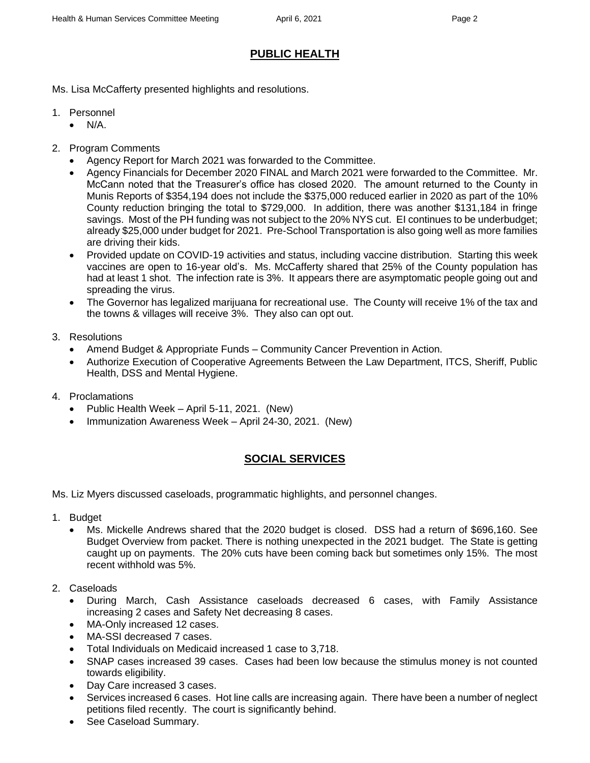### **PUBLIC HEALTH**

Ms. Lisa McCafferty presented highlights and resolutions.

- 1. Personnel
	- $\bullet$  N/A.
- 2. Program Comments
	- Agency Report for March 2021 was forwarded to the Committee.
	- Agency Financials for December 2020 FINAL and March 2021 were forwarded to the Committee. Mr. McCann noted that the Treasurer's office has closed 2020. The amount returned to the County in Munis Reports of \$354,194 does not include the \$375,000 reduced earlier in 2020 as part of the 10% County reduction bringing the total to \$729,000. In addition, there was another \$131,184 in fringe savings. Most of the PH funding was not subject to the 20% NYS cut. EI continues to be underbudget; already \$25,000 under budget for 2021. Pre-School Transportation is also going well as more families are driving their kids.
	- Provided update on COVID-19 activities and status, including vaccine distribution. Starting this week vaccines are open to 16-year old's. Ms. McCafferty shared that 25% of the County population has had at least 1 shot. The infection rate is 3%. It appears there are asymptomatic people going out and spreading the virus.
	- The Governor has legalized marijuana for recreational use. The County will receive 1% of the tax and the towns & villages will receive 3%. They also can opt out.
- 3. Resolutions
	- Amend Budget & Appropriate Funds Community Cancer Prevention in Action.
	- Authorize Execution of Cooperative Agreements Between the Law Department, ITCS, Sheriff, Public Health, DSS and Mental Hygiene.
- 4. Proclamations
	- Public Health Week April 5-11, 2021. (New)
	- Immunization Awareness Week April 24-30, 2021. (New)

## **SOCIAL SERVICES**

Ms. Liz Myers discussed caseloads, programmatic highlights, and personnel changes.

- 1. Budget
	- Ms. Mickelle Andrews shared that the 2020 budget is closed. DSS had a return of \$696,160. See Budget Overview from packet. There is nothing unexpected in the 2021 budget. The State is getting caught up on payments. The 20% cuts have been coming back but sometimes only 15%. The most recent withhold was 5%.
- 2. Caseloads
	- During March, Cash Assistance caseloads decreased 6 cases, with Family Assistance increasing 2 cases and Safety Net decreasing 8 cases.
	- MA-Only increased 12 cases.
	- MA-SSI decreased 7 cases.
	- Total Individuals on Medicaid increased 1 case to 3,718.
	- SNAP cases increased 39 cases. Cases had been low because the stimulus money is not counted towards eligibility.
	- Day Care increased 3 cases.
	- Services increased 6 cases. Hot line calls are increasing again. There have been a number of neglect petitions filed recently. The court is significantly behind.
	- See Caseload Summary.